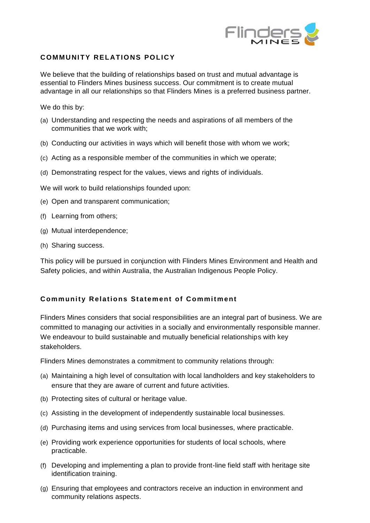

## **COMMUNITY RELATIONS POLICY**

We believe that the building of relationships based on trust and mutual advantage is essential to Flinders Mines business success. Our commitment is to create mutual advantage in all our relationships so that Flinders Mines is a preferred business partner.

We do this by:

- (a) Understanding and respecting the needs and aspirations of all members of the communities that we work with;
- (b) Conducting our activities in ways which will benefit those with whom we work;
- (c) Acting as a responsible member of the communities in which we operate;
- (d) Demonstrating respect for the values, views and rights of individuals.

We will work to build relationships founded upon:

- (e) Open and transparent communication;
- (f) Learning from others;
- (g) Mutual interdependence;
- (h) Sharing success.

This policy will be pursued in conjunction with Flinders Mines Environment and Health and Safety policies, and within Australia, the Australian Indigenous People Policy.

## **Community Relations Statement of Commitment**

Flinders Mines considers that social responsibilities are an integral part of business. We are committed to managing our activities in a socially and environmentally responsible manner. We endeavour to build sustainable and mutually beneficial relationships with key stakeholders.

Flinders Mines demonstrates a commitment to community relations through:

- (a) Maintaining a high level of consultation with local landholders and key stakeholders to ensure that they are aware of current and future activities.
- (b) Protecting sites of cultural or heritage value.
- (c) Assisting in the development of independently sustainable local businesses.
- (d) Purchasing items and using services from local businesses, where practicable.
- (e) Providing work experience opportunities for students of local schools, where practicable.
- (f) Developing and implementing a plan to provide front-line field staff with heritage site identification training.
- (g) Ensuring that employees and contractors receive an induction in environment and community relations aspects.